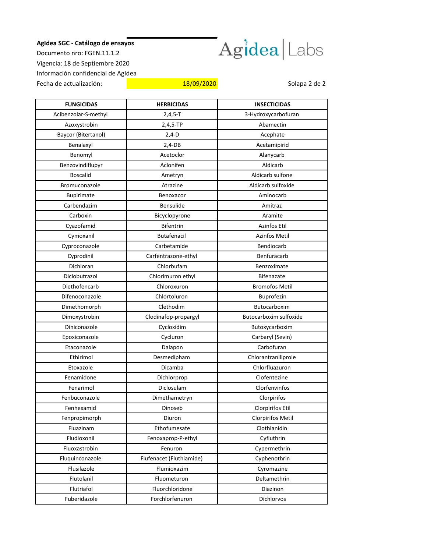## **AgIdea SGC - Catálogo de ensayos**



Documento nro: FGEN.11.1.2 Vigencia: 18 de Septiembre 2020 Información confidencial de AgIdea Fecha de actualización: 18/09/2020 **18/09/2020** Solapa 2 de 2

| <b>FUNGICIDAS</b>    | <b>HERBICIDAS</b>        | <b>INSECTICIDAS</b>      |
|----------------------|--------------------------|--------------------------|
| Acibenzolar-S-methyl | $2,4,5-T$                | 3-Hydroxycarbofuran      |
| Azoxystrobin         | 2,4,5-TP                 | Abamectin                |
| Baycor (Bitertanol)  | $2,4-D$                  | Acephate                 |
| Benalaxyl            | $2,4-DB$                 | Acetamipirid             |
| Benomyl              | Acetoclor                | Alanycarb                |
| Benzovindiflupyr     | Aclonifen                | Aldicarb                 |
| <b>Boscalid</b>      | Ametryn                  | Aldicarb sulfone         |
| Bromuconazole        | Atrazine                 | Aldicarb sulfoxide       |
| <b>Bupirimate</b>    | Benoxacor                | Aminocarb                |
| Carbendazim          | <b>Bensulide</b>         | Amitraz                  |
| Carboxin             | Bicyclopyrone            | Aramite                  |
| Cyazofamid           | <b>Bifentrin</b>         | Azinfos Etil             |
| Cymoxanil            | Butafenacil              | <b>Azinfos Metil</b>     |
| Cyproconazole        | Carbetamide              | Bendiocarb               |
| Cyprodinil           | Carfentrazone-ethyl      | Benfuracarb              |
| Dichloran            | Chlorbufam               | Benzoximate              |
| Diclobutrazol        | Chlorimuron ethyl        | <b>Bifenazate</b>        |
| Diethofencarb        | Chloroxuron              | <b>Bromofos Metil</b>    |
| Difenoconazole       | Chlortoluron             | Buprofezin               |
| Dimethomorph         | Clethodim                | Butocarboxim             |
| Dimoxystrobin        | Clodinafop-propargyl     | Butocarboxim sulfoxide   |
| Diniconazole         | Cycloxidim               | Butoxycarboxim           |
| Epoxiconazole        | Cycluron                 | Carbaryl (Sevin)         |
| Etaconazole          | Dalapon                  | Carbofuran               |
| Ethirimol            | Desmedipham              | Chlorantraniliprole      |
| Etoxazole            | Dicamba                  | Chlorfluazuron           |
| Fenamidone           | Dichlorprop              | Clofentezine             |
| Fenarimol            | Diclosulam               | Clorfenvinfos            |
| Fenbuconazole        | Dimethametryn            | Clorpirifos              |
| Fenhexamid           | Dinoseb                  | Clorpirifos Etil         |
| Fenpropimorph        | Diuron                   | <b>Clorpirifos Metil</b> |
| Fluazinam            | Ethofumesate             | Clothianidin             |
| Fludioxonil          | Fenoxaprop-P-ethyl       | Cyfluthrin               |
| Fluoxastrobin        | Fenuron                  | Cypermethrin             |
| Fluquinconazole      | Flufenacet (Fluthiamide) | Cyphenothrin             |
| Flusilazole          | Flumioxazim              | Cyromazine               |
| Flutolanil           | Fluometuron              | Deltamethrin             |
| Flutriafol           | Fluorchloridone          | Diazinon                 |
| Fuberidazole         | Forchlorfenuron          | <b>Dichlorvos</b>        |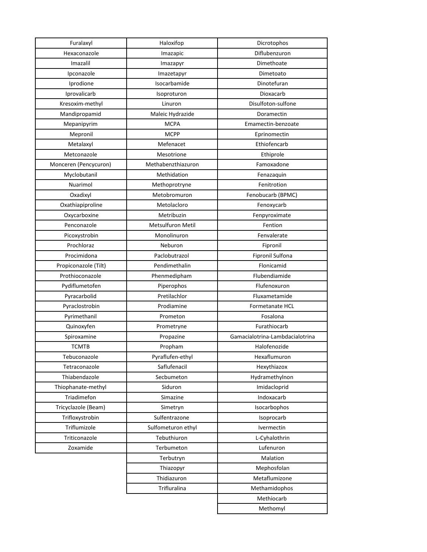| Furalaxyl             | Haloxifop          | Dicrotophos                     |
|-----------------------|--------------------|---------------------------------|
| Hexaconazole          | Imazapic           | Diflubenzuron                   |
| Imazalil              | Imazapyr           | Dimethoate                      |
| Ipconazole            | Imazetapyr         | Dimetoato                       |
| Iprodione             | Isocarbamide       | Dinotefuran                     |
| Iprovalicarb          | Isoproturon        | Dioxacarb                       |
| Kresoxim-methyl       | Linuron            | Disulfoton-sulfone              |
| Mandipropamid         | Maleic Hydrazide   | Doramectin                      |
| Mepanipyrim           | <b>MCPA</b>        | Emamectin-benzoate              |
| Mepronil              | <b>MCPP</b>        | Eprinomectin                    |
| Metalaxyl             | Mefenacet          | Ethiofencarb                    |
| Metconazole           | Mesotrione         | Ethiprole                       |
| Monceren (Pencycuron) | Methabenzthiazuron | Famoxadone                      |
| Myclobutanil          | Methidation        | Fenazaquin                      |
| Nuarimol              | Methoprotryne      | Fenitrotion                     |
| Oxadixyl              | Metobromuron       | Fenobucarb (BPMC)               |
| Oxathiapiproline      | Metolacloro        | Fenoxycarb                      |
| Oxycarboxine          | Metribuzin         | Fenpyroximate                   |
| Penconazole           | Metsulfuron Metil  | Fention                         |
| Picoxystrobin         | Monolinuron        | Fenvalerate                     |
| Prochloraz            | Neburon            | Fipronil                        |
| Procimidona           | Paclobutrazol      | <b>Fipronil Sulfona</b>         |
| Propiconazole (Tilt)  | Pendimethalin      | Flonicamid                      |
| Prothioconazole       | Phenmedipham       | Flubendiamide                   |
| Pydiflumetofen        | Piperophos         | Flufenoxuron                    |
| Pyracarbolid          | Pretilachlor       | Fluxametamide                   |
| Pyraclostrobin        | Prodiamine         | Formetanate HCL                 |
| Pyrimethanil          | Prometon           | Fosalona                        |
| Quinoxyfen            | Prometryne         | Furathiocarb                    |
| Spiroxamine           | Propazine          | Gamacialotrina-Lambdacialotrina |
| <b>TCMTB</b>          | Propham            | Halofenozide                    |
| Tebuconazole          | Pyraflufen-ethyl   | Hexaflumuron                    |
| Tetraconazole         | Saflufenacil       | Hexythiazox                     |
| Thiabendazole         | Secbumeton         | Hydramethylnon                  |
| Thiophanate-methyl    | Siduron            | Imidacloprid                    |
| Triadimefon           | Simazine           | Indoxacarb                      |
| Tricyclazole (Beam)   | Simetryn           | Isocarbophos                    |
| Trifloxystrobin       | Sulfentrazone      | Isoprocarb                      |
| Triflumizole          | Sulfometuron ethyl | Ivermectin                      |
| Triticonazole         | Tebuthiuron        | L-Cyhalothrin                   |
| Zoxamide              | Terbumeton         | Lufenuron                       |
|                       | Terbutryn          | Malation                        |
|                       | Thiazopyr          | Mephosfolan                     |
|                       | Thidiazuron        | Metaflumizone                   |
|                       | Trifluralina       | Methamidophos                   |
|                       |                    | Methiocarb                      |
|                       |                    | Methomyl                        |